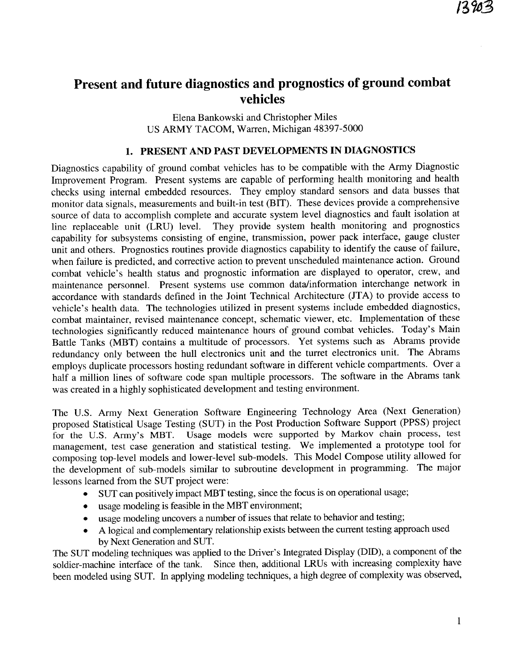# Present and future diagnostics and prognostics of ground combat vehicles

Elena Bankowski and Christopher Miles US ARMY TACOM, Warren, Michigan 48397-5000

## 1. PRESENT AND PAST DEVELOPMENTS IN DIAGNOSTICS

Diagnostics capability of ground combat vehicles has to be compatible with the Army Diagnostic Improvement Program. Present systems are capable of performing health monitoring and health checks using internal embedded resources. They employ standard sensors and data busses that monitor data signals, measurements and built-in test (BIT). These devices provide a comprehensive source of data to accomplish complete and accurate system level diagnostics and fault isolation at line replaceable unit (LRU) level. They provide system health monitoring and prognostics capability for subsystems consisting of engine, transmission, power pack interface, gauge cluster unit and others. Prognostics routines provide diagnostics capability to identify the cause of failure, when failure is predicted, and corrective action to prevent unscheduled maintenance action. Ground combat vehicle's health status and prognostic information are displayed to operator, crew, and maintenance personnel. Present systems use common data/information interchange network in accordance with standards defined in the Joint Technical Architecture (JTA) to provide access to vehicle's health data. The technologies utilized in present systems include embedded diagnostics, combat maintainer, revised maintenance concept, schematic viewer, etc. Implementation of these technologies significantly reduced maintenance hours of ground combat vehicles. Today's Main Battle Tanks (MBT) contains a multitude of processors. Yet systems such as Abrams provide redundancy only between the hull electronics unit and the turret electronics unit. The Abrams employs duplicate processors hosting redundant software in different vehicle compartments. Over a half a million lines of software code span multiple processors. The software in the Abrams tank was created in a highly sophisticated development and testing environment.

The U.S. Army Next Generation Software Engineering Technology Area (Next Generation) proposed Statistical Usage Testing (SUT) in the Post Production Software Support (PPSS) project for the U.S. Army's MBT. Usage models were supported by Markov chain process, test management, test case generation and statistical testing. We implemented a prototype tool for composing top-level models and lower-level sub-models. This Model Compose utility allowed for the development of sub-models similar to subroutine development in programming. The major lessons learned from the SUT project were:

- SUT can positively impact MBT testing, since the focus is on operational usage;
- usage modeling is feasible in the MBT environment;  $\bullet$
- usage modeling uncovers a number of issues that relate to behavior and testing;
- A logical and complementary relationship exists between the current testing approach used by Next Generation and SUT.

The SUT modeling techniques was applied to the Driver's Integrated Display (DID), a component of the soldier-machine interface of the tank. Since then, additional LRUs with increasing complexity have been modeled using SUT. In applying modeling techniques, a high degree of complexity was observed,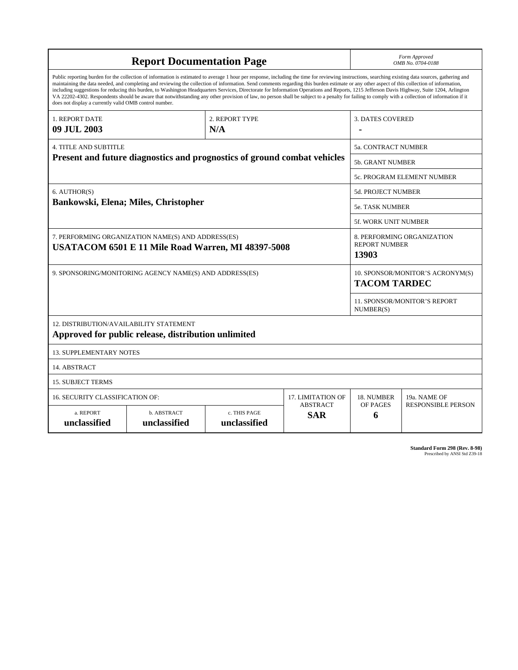| <b>Report Documentation Page</b>                                                                         |                                                     |                                                                                                                                                                                                                                                                                                                                                                                                                                                                                                                                                                                                                                                                                                                                                                                                          |                               |                           | Form Approved<br>OMB No. 0704-0188                          |  |
|----------------------------------------------------------------------------------------------------------|-----------------------------------------------------|----------------------------------------------------------------------------------------------------------------------------------------------------------------------------------------------------------------------------------------------------------------------------------------------------------------------------------------------------------------------------------------------------------------------------------------------------------------------------------------------------------------------------------------------------------------------------------------------------------------------------------------------------------------------------------------------------------------------------------------------------------------------------------------------------------|-------------------------------|---------------------------|-------------------------------------------------------------|--|
| does not display a currently valid OMB control number.                                                   |                                                     | Public reporting burden for the collection of information is estimated to average 1 hour per response, including the time for reviewing instructions, searching existing data sources, gathering and<br>maintaining the data needed, and completing and reviewing the collection of information. Send comments regarding this burden estimate or any other aspect of this collection of information,<br>including suggestions for reducing this burden, to Washington Headquarters Services, Directorate for Information Operations and Reports, 1215 Jefferson Davis Highway, Suite 1204, Arlington<br>VA 22202-4302. Respondents should be aware that notwithstanding any other provision of law, no person shall be subject to a penalty for failing to comply with a collection of information if it |                               |                           |                                                             |  |
| <b>1. REPORT DATE</b><br>09 JUL 2003                                                                     |                                                     | 2. REPORT TYPE<br>N/A                                                                                                                                                                                                                                                                                                                                                                                                                                                                                                                                                                                                                                                                                                                                                                                    |                               | <b>3. DATES COVERED</b>   |                                                             |  |
| <b>4. TITLE AND SUBTITLE</b>                                                                             |                                                     |                                                                                                                                                                                                                                                                                                                                                                                                                                                                                                                                                                                                                                                                                                                                                                                                          |                               |                           | 5a. CONTRACT NUMBER                                         |  |
| Present and future diagnostics and prognostics of ground combat vehicles                                 |                                                     |                                                                                                                                                                                                                                                                                                                                                                                                                                                                                                                                                                                                                                                                                                                                                                                                          |                               |                           | 5b. GRANT NUMBER                                            |  |
|                                                                                                          |                                                     |                                                                                                                                                                                                                                                                                                                                                                                                                                                                                                                                                                                                                                                                                                                                                                                                          |                               |                           | 5c. PROGRAM ELEMENT NUMBER                                  |  |
| 6. AUTHOR(S)<br>Bankowski, Elena; Miles, Christopher                                                     |                                                     |                                                                                                                                                                                                                                                                                                                                                                                                                                                                                                                                                                                                                                                                                                                                                                                                          |                               | <b>5d. PROJECT NUMBER</b> |                                                             |  |
|                                                                                                          |                                                     |                                                                                                                                                                                                                                                                                                                                                                                                                                                                                                                                                                                                                                                                                                                                                                                                          |                               | <b>5e. TASK NUMBER</b>    |                                                             |  |
|                                                                                                          |                                                     |                                                                                                                                                                                                                                                                                                                                                                                                                                                                                                                                                                                                                                                                                                                                                                                                          |                               |                           | <b>5f. WORK UNIT NUMBER</b>                                 |  |
| 7. PERFORMING ORGANIZATION NAME(S) AND ADDRESS(ES)<br>USATACOM 6501 E 11 Mile Road Warren, MI 48397-5008 |                                                     |                                                                                                                                                                                                                                                                                                                                                                                                                                                                                                                                                                                                                                                                                                                                                                                                          |                               |                           | 8. PERFORMING ORGANIZATION<br><b>REPORT NUMBER</b><br>13903 |  |
| 9. SPONSORING/MONITORING AGENCY NAME(S) AND ADDRESS(ES)                                                  |                                                     |                                                                                                                                                                                                                                                                                                                                                                                                                                                                                                                                                                                                                                                                                                                                                                                                          |                               |                           | 10. SPONSOR/MONITOR'S ACRONYM(S)<br><b>TACOM TARDEC</b>     |  |
|                                                                                                          |                                                     |                                                                                                                                                                                                                                                                                                                                                                                                                                                                                                                                                                                                                                                                                                                                                                                                          |                               |                           | 11. SPONSOR/MONITOR'S REPORT<br>NUMBER(S)                   |  |
| 12. DISTRIBUTION/AVAILABILITY STATEMENT                                                                  | Approved for public release, distribution unlimited |                                                                                                                                                                                                                                                                                                                                                                                                                                                                                                                                                                                                                                                                                                                                                                                                          |                               |                           |                                                             |  |
| <b>13. SUPPLEMENTARY NOTES</b>                                                                           |                                                     |                                                                                                                                                                                                                                                                                                                                                                                                                                                                                                                                                                                                                                                                                                                                                                                                          |                               |                           |                                                             |  |
| 14. ABSTRACT                                                                                             |                                                     |                                                                                                                                                                                                                                                                                                                                                                                                                                                                                                                                                                                                                                                                                                                                                                                                          |                               |                           |                                                             |  |
| <b>15. SUBJECT TERMS</b>                                                                                 |                                                     |                                                                                                                                                                                                                                                                                                                                                                                                                                                                                                                                                                                                                                                                                                                                                                                                          |                               |                           |                                                             |  |
| 16. SECURITY CLASSIFICATION OF:<br>17. LIMITATION OF                                                     |                                                     |                                                                                                                                                                                                                                                                                                                                                                                                                                                                                                                                                                                                                                                                                                                                                                                                          |                               | 18. NUMBER                | 19a. NAME OF                                                |  |
| a. REPORT<br>unclassified                                                                                | b. ABSTRACT<br>unclassified                         | c. THIS PAGE<br>unclassified                                                                                                                                                                                                                                                                                                                                                                                                                                                                                                                                                                                                                                                                                                                                                                             | <b>ABSTRACT</b><br><b>SAR</b> | OF PAGES<br>6             | <b>RESPONSIBLE PERSON</b>                                   |  |

**Standard Form 298 (Rev. 8-98)**<br>Prescribed by ANSI Std Z39-18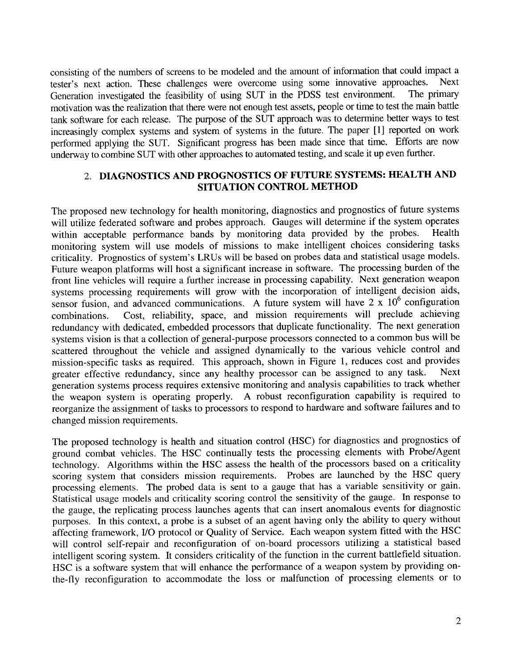consisting of the numbers of screens to be modeled and the amount of information that could impact a tester's next action. These challenges were overcome using some innovative approaches. **Next** Generation investigated the feasibility of using SUT in the PDSS test environment. The primary motivation was the realization that there were not enough test assets, people or time to test the main battle tank software for each release. The purpose of the SUT approach was to determine better ways to test increasingly complex systems and system of systems in the future. The paper [1] reported on work performed applying the SUT. Significant progress has been made since that time. Efforts are now underway to combine SUT with other approaches to automated testing, and scale it up even further.

## 2. DIAGNOSTICS AND PROGNOSTICS OF FUTURE SYSTEMS: HEALTH AND SITUATION CONTROL METHOD

The proposed new technology for health monitoring, diagnostics and prognostics of future systems will utilize federated software and probes approach. Gauges will determine if the system operates within acceptable performance bands by monitoring data provided by the probes. Health monitoring system will use models of missions to make intelligent choices considering tasks criticality. Prognostics of system's LRUs will be based on probes data and statistical usage models. Future weapon platforms will host a significant increase in software. The processing burden of the front line vehicles will require a further increase in processing capability. Next generation weapon systems processing requirements will grow with the incorporation of intelligent decision aids, sensor fusion, and advanced communications. A future system will have  $2 \times 10^6$  configuration Cost, reliability, space, and mission requirements will preclude achieving combinations. redundancy with dedicated, embedded processors that duplicate functionality. The next generation systems vision is that a collection of general-purpose processors connected to a common bus will be scattered throughout the vehicle and assigned dynamically to the various vehicle control and mission-specific tasks as required. This approach, shown in Figure 1, reduces cost and provides greater effective redundancy, since any healthy processor can be assigned to any task. **Next** generation systems process requires extensive monitoring and analysis capabilities to track whether the weapon system is operating properly. A robust reconfiguration capability is required to reorganize the assignment of tasks to processors to respond to hardware and software failures and to changed mission requirements.

The proposed technology is health and situation control (HSC) for diagnostics and prognostics of ground combat vehicles. The HSC continually tests the processing elements with Probe/Agent technology. Algorithms within the HSC assess the health of the processors based on a criticality scoring system that considers mission requirements. Probes are launched by the HSC query processing elements. The probed data is sent to a gauge that has a variable sensitivity or gain. Statistical usage models and criticality scoring control the sensitivity of the gauge. In response to the gauge, the replicating process launches agents that can insert anomalous events for diagnostic purposes. In this context, a probe is a subset of an agent having only the ability to query without affecting framework, I/O protocol or Quality of Service. Each weapon system fitted with the HSC will control self-repair and reconfiguration of on-board processors utilizing a statistical based intelligent scoring system. It considers criticality of the function in the current battlefield situation. HSC is a software system that will enhance the performance of a weapon system by providing onthe-fly reconfiguration to accommodate the loss or malfunction of processing elements or to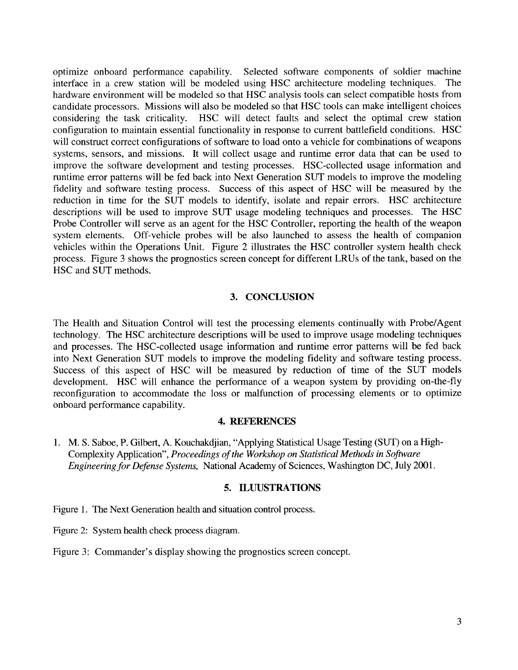optimize onboard performance capability. Selected software components of soldier machine interface in a crew station will be modeled using HSC architecture modeling techniques. The hardware environment will be modeled so that HSC analysis tools can select compatible hosts from candidate processors. Missions will also be modeled so that HSC tools can make intelligent choices considering the task criticality. HSC will detect faults and select the optimal crew station configuration to maintain essential functionality in response to current battlefield conditions. HSC will construct correct configurations of software to load onto a vehicle for combinations of weapons systems, sensors, and missions. It will collect usage and runtime error data that can be used to improve the software development and testing processes. HSC-collected usage information and runtime error patterns will be fed back into Next Generation SUT models to improve the modeling fidelity and software testing process. Success of this aspect of HSC will be measured by the reduction in time for the SUT models to identify, isolate and repair errors. HSC architecture descriptions will be used to improve SUT usage modeling techniques and processes. The HSC Probe Controller will serve as an agent for the HSC Controller, reporting the health of the weapon system elements. Off-vehicle probes will be also launched to assess the health of companion vehicles within the Operations Unit. Figure 2 illustrates the HSC controller system health check process. Figure 3 shows the prognostics screen concept for different LRUs of the tank, based on the HSC and SUT methods.

#### 3. CONCLUSION

The Health and Situation Control will test the processing elements continually with Probe/Agent technology. The HSC architecture descriptions will be used to improve usage modeling techniques and processes. The HSC-collected usage information and runtime error patterns will be fed back into Next Generation SUT models to improve the modeling fidelity and software testing process. Success of this aspect of HSC will be measured by reduction of time of the SUT models development. HSC will enhance the performance of a weapon system by providing on-the-fly reconfiguration to accommodate the loss or malfunction of processing elements or to optimize onboard performance capability.

#### **4. REFERENCES**

1. M. S. Saboe, P. Gilbert, A. Kouchakdjian, "Applying Statistical Usage Testing (SUT) on a High-Complexity Application", Proceedings of the Workshop on Statistical Methods in Software Engineering for Defense Systems, National Academy of Sciences, Washington DC, July 2001.

#### 5. ILUUSTRATIONS

- Figure 1. The Next Generation health and situation control process.
- Figure 2: System health check process diagram.
- Figure 3: Commander's display showing the prognostics screen concept.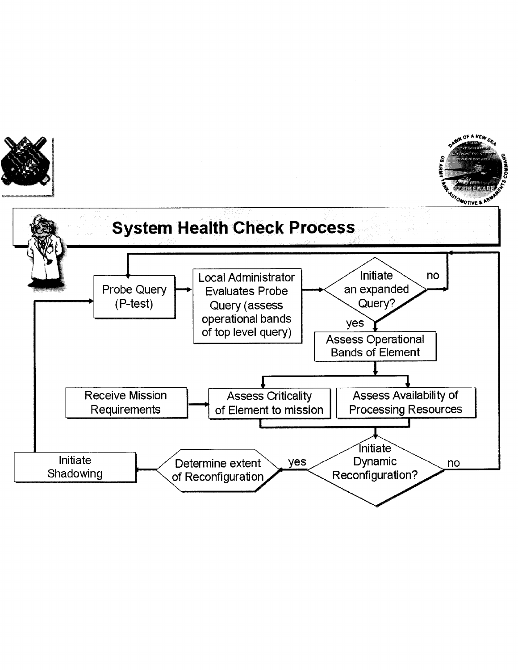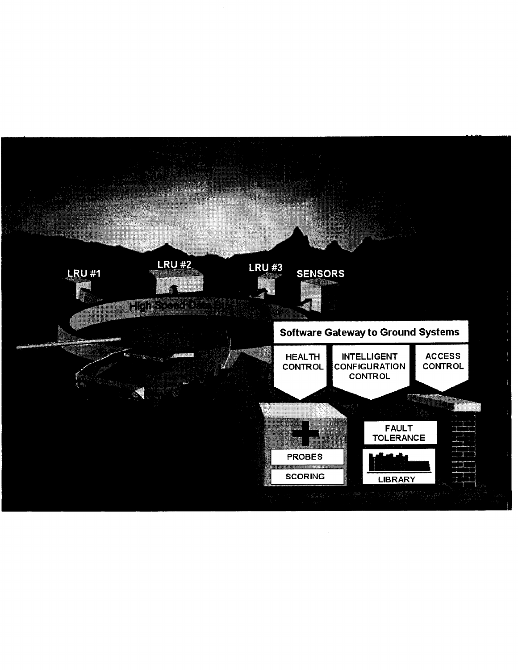